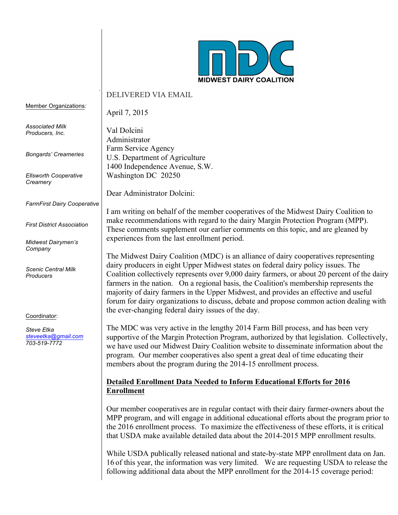

#### . DELIVERED VIA EMAIL

April 7, 2015

Member Organizations*:*

*Associated Milk Producers, Inc.*

*Bongards' Creameries*

*Ellsworth Cooperative Creamery*

*FarmFirst Dairy Cooperative*

*First District Association*

*Midwest Dairymen's Company*

*Scenic Central Milk Producers* 

Coordinator:

*Steve Etka steveetka@gmail.com 703-519-7772*

Val Dolcini Administrator Farm Service Agency U.S. Department of Agriculture 1400 Independence Avenue, S.W. Washington DC 20250

Dear Administrator Dolcini:

I am writing on behalf of the member cooperatives of the Midwest Dairy Coalition to make recommendations with regard to the dairy Margin Protection Program (MPP). These comments supplement our earlier comments on this topic, and are gleaned by experiences from the last enrollment period.

The Midwest Dairy Coalition (MDC) is an alliance of dairy cooperatives representing dairy producers in eight Upper Midwest states on federal dairy policy issues. The Coalition collectively represents over 9,000 dairy farmers, or about 20 percent of the dairy farmers in the nation. On a regional basis, the Coalition's membership represents the majority of dairy farmers in the Upper Midwest, and provides an effective and useful forum for dairy organizations to discuss, debate and propose common action dealing with the ever-changing federal dairy issues of the day.

The MDC was very active in the lengthy 2014 Farm Bill process, and has been very supportive of the Margin Protection Program, authorized by that legislation. Collectively, we have used our Midwest Dairy Coalition website to disseminate information about the program. Our member cooperatives also spent a great deal of time educating their members about the program during the 2014-15 enrollment process.

## **Detailed Enrollment Data Needed to Inform Educational Efforts for 2016 Enrollment**

Our member cooperatives are in regular contact with their dairy farmer-owners about the MPP program, and will engage in additional educational efforts about the program prior to the 2016 enrollment process. To maximize the effectiveness of these efforts, it is critical that USDA make available detailed data about the 2014-2015 MPP enrollment results.

While USDA publically released national and state-by-state MPP enrollment data on Jan. 16 of this year, the information was very limited. We are requesting USDA to release the following additional data about the MPP enrollment for the 2014-15 coverage period: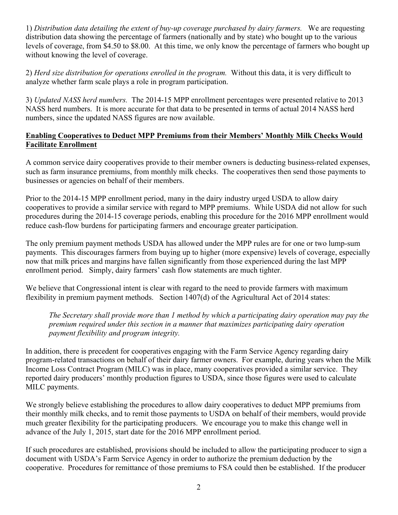1) *Distribution data detailing the extent of buy-up coverage purchased by dairy farmers.* We are requesting distribution data showing the percentage of farmers (nationally and by state) who bought up to the various levels of coverage, from \$4.50 to \$8.00. At this time, we only know the percentage of farmers who bought up without knowing the level of coverage.

2) *Herd size distribution for operations enrolled in the program.* Without this data, it is very difficult to analyze whether farm scale plays a role in program participation.

3) *Updated NASS herd numbers.* The 2014-15 MPP enrollment percentages were presented relative to 2013 NASS herd numbers. It is more accurate for that data to be presented in terms of actual 2014 NASS herd numbers, since the updated NASS figures are now available.

### **Enabling Cooperatives to Deduct MPP Premiums from their Members' Monthly Milk Checks Would Facilitate Enrollment**

A common service dairy cooperatives provide to their member owners is deducting business-related expenses, such as farm insurance premiums, from monthly milk checks. The cooperatives then send those payments to businesses or agencies on behalf of their members.

Prior to the 2014-15 MPP enrollment period, many in the dairy industry urged USDA to allow dairy cooperatives to provide a similar service with regard to MPP premiums. While USDA did not allow for such procedures during the 2014-15 coverage periods, enabling this procedure for the 2016 MPP enrollment would reduce cash-flow burdens for participating farmers and encourage greater participation.

The only premium payment methods USDA has allowed under the MPP rules are for one or two lump-sum payments. This discourages farmers from buying up to higher (more expensive) levels of coverage, especially now that milk prices and margins have fallen significantly from those experienced during the last MPP enrollment period. Simply, dairy farmers' cash flow statements are much tighter.

We believe that Congressional intent is clear with regard to the need to provide farmers with maximum flexibility in premium payment methods. Section 1407(d) of the Agricultural Act of 2014 states:

*The Secretary shall provide more than 1 method by which a participating dairy operation may pay the premium required under this section in a manner that maximizes participating dairy operation payment flexibility and program integrity.* 

In addition, there is precedent for cooperatives engaging with the Farm Service Agency regarding dairy program-related transactions on behalf of their dairy farmer owners. For example, during years when the Milk Income Loss Contract Program (MILC) was in place, many cooperatives provided a similar service. They reported dairy producers' monthly production figures to USDA, since those figures were used to calculate MILC payments.

We strongly believe establishing the procedures to allow dairy cooperatives to deduct MPP premiums from their monthly milk checks, and to remit those payments to USDA on behalf of their members, would provide much greater flexibility for the participating producers. We encourage you to make this change well in advance of the July 1, 2015, start date for the 2016 MPP enrollment period.

If such procedures are established, provisions should be included to allow the participating producer to sign a document with USDA's Farm Service Agency in order to authorize the premium deduction by the cooperative. Procedures for remittance of those premiums to FSA could then be established. If the producer